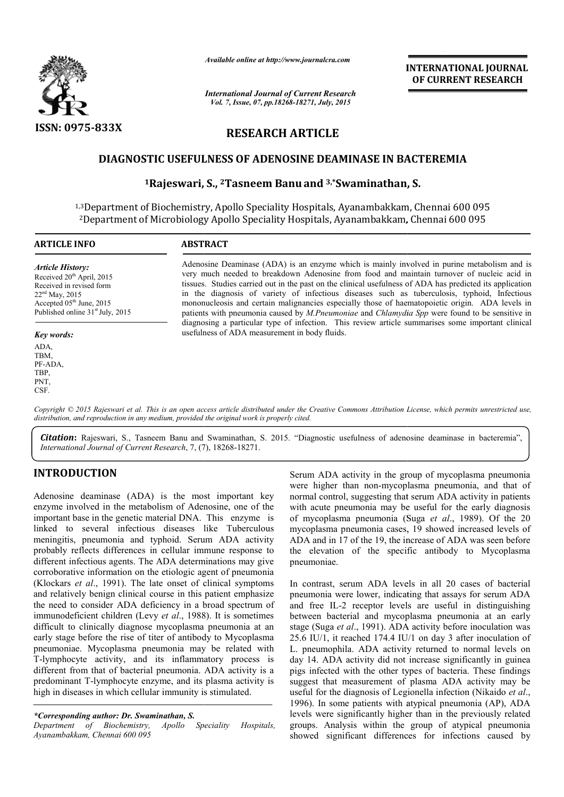

*Available online at http://www.journalcra.com*

*International Journal of Current Research Vol. 7, Issue, 07, pp.18268-18271, July, 2015*

INTERNATIONAL INTERNATIONAL JOURNAL OF CURRENT RESEARCH

## RESEARCH ARTICLE

### DIAGNOSTIC USEFULNESS OF ADENOSINE DEAMINASE IN BACTEREMIA

# **TIC USEFULNESS OF ADENOSINE DEAMINASE IN BAC**<br><sup>1</sup>Rajeswari, S., <sup>2</sup>Tasneem Banu and <sup>3,</sup>\*Swaminathan, S.

1,3Department of Biochemistry, Apollo Speciality Hospitals, Ayanambakkam, Chennai 600 095 2Department of Microbiology Apollo Speciality Hospitals, Ayanambakkam, Chennai 600 095 Department Ayanambakkam,

| <b>ARTICLE INFO</b>                                                                                                                                                                                          | <b>ABSTRACT</b>                                                                                                                                                                                                                                                                                                                                                                                                                                                                                                                                                                                                                                                                                                                                                                |
|--------------------------------------------------------------------------------------------------------------------------------------------------------------------------------------------------------------|--------------------------------------------------------------------------------------------------------------------------------------------------------------------------------------------------------------------------------------------------------------------------------------------------------------------------------------------------------------------------------------------------------------------------------------------------------------------------------------------------------------------------------------------------------------------------------------------------------------------------------------------------------------------------------------------------------------------------------------------------------------------------------|
| <b>Article History:</b><br>Received $20th$ April, 2015<br>Received in revised form<br>$22nd$ May, 2015<br>Accepted 05 <sup>th</sup> June, 2015<br>Published online 31 <sup>st</sup> July, 2015<br>Key words: | Adenosine Deaminase (ADA) is an enzyme which is mainly involved in purine metabolism and is<br>very much needed to breakdown Adenosine from food and maintain turnover of nucleic acid in<br>tissues. Studies carried out in the past on the clinical usefulness of ADA has predicted its application<br>in the diagnosis of variety of infectious diseases such as tuberculosis, typhoid, Infectious<br>mononucleosis and certain malignancies especially those of haematopoietic origin. ADA levels in<br>patients with pneumonia caused by <i>M.Pneumoniae</i> and <i>Chlamydia Spp</i> were found to be sensitive in<br>diagnosing a particular type of infection. This review article summarises some important clinical<br>usefulness of ADA measurement in body fluids. |
| ADA.<br>TBM,<br>PF-ADA.<br>TBP,                                                                                                                                                                              |                                                                                                                                                                                                                                                                                                                                                                                                                                                                                                                                                                                                                                                                                                                                                                                |

Copyright © 2015 Rajeswari et al. This is an open access article distributed under the Creative Commons Attribution License, which permits unrestricted use, *distribution, and reproduction in any medium, provided the original work is properly cited.*

Citation: Rajeswari, S., Tasneem Banu and Swaminathan, S. 2015. "Diagnostic usefulness of adenosine deaminase in bacteremia", *International Journal of Current Research*, 7, (7), 18268-18271.

## INTRODUCTION

PNT, CSF.

Adenosine deaminase (ADA) is the most important key enzyme involved in the metabolism of Adenosine, one of the important base in the genetic material DNA. This enzyme is linked to several infectious diseases like Tuberculous meningitis, pneumonia and typhoid. Serum ADA activity probably reflects differences in cellular immune response to different infectious agents. The ADA determinations may give corroborative information on the etiologic agent of pneumonia (Klockars *et al*., 1991). The late onset of clinical symptoms and relatively benign clinical course in this patient emphasize the need to consider ADA deficiency in a broad spectrum of immunodeficient children (Levy *et al.*, 1988). It is sometimes difficult to clinically diagnose mycoplasma pneumonia at an early stage before the rise of titer of antibody to Mycoplasma pneumoniae. Mycoplasma pneumonia may be related with T-lymphocyte activity, and its inflammatory process is different from that of bacterial pneumonia. ADA activity is a predominant T-lymphocyte enzyme, and its plasma activity is high in diseases in which cellular immunity is stimulated. ects differences in cellular immune response to<br>ctious agents. The ADA determinations may give<br>information on the etiologic agent of pneumonia<br> $al$ , 1991). The late onset of clinical symptoms<br> $v$  benign clinical course in rly stage before the rise of titer of antibody to Mycoplasma<br>eumoniae. Mycoplasma pneumonia may be related with<br>lymphocyte activity, and its inflammatory process is<br>fferent from that of bacterial pneumonia. ADA activity is

*\*Corresponding author: Dr. Swaminathan, S.*

*Department of Biochemistry, Apollo Speciality Hospitals, Ayanambakkam, Chennai 600 095*

Serum ADA activity in the group of mycoplasma pneumonia were higher than non-mycoplasma pneumonia, and that of normal control, suggesting that serum ADA activity in patients with acute pneumonia may be useful for the early diagnosis of mycoplasma pneumonia (Suga *et al*., 1989). Of the 20 mycoplasma pneumonia cases, 19 showed increased levels of ADA and in 17 of the 19, the increase of ADA was seen before the elevation of the specific antibody to Mycoplasma pneumoniae. Serum ADA activity in the group of mycoplasma pneumonia were higher than non-mycoplasma pneumonia, and that of normal control, suggesting that serum ADA activity in patients with acute pneumonia may be useful for the early

In contrast, serum ADA levels in all 20 cases of bacterial pneumonia were lower, indicating that assays for serum ADA and free IL-2 receptor levels are useful in distinguishing between bacterial and mycoplasma pneumonia at an early stage (Suga *et al.*, 1991). ADA activity before inoculation was 25.6 IU/1, it reached 174.4 IU/1 on day 3 after inoculation of L. pneumophila. ADA activity returned to normal levels on day 14. ADA activity did not increase significantly in guinea pigs infected with the other types of bacteria. These findi suggest that measurement of plasma ADA activity may be suggest that measurement of plasma ADA activity may be useful for the diagnosis of Legionella infection (Nikaido *et al.*, 1996). In some patients with atypical pneumonia (AP), ADA levels were significantly higher than in the previously related groups. Analysis within the group of atypical pneumonia showed significant differences for infections caused by ma pneumonia cases, 19 showed increased levels of<br>in 17 of the 19, the increase of ADA was seen before<br>tion of the specific antibody to Mycoplasma<br>ae.<br>t, serum ADA levels in all 20 cases of bacterial<br>a were lower, indicati IU/1, it reached 174.4 IU/1 on day 3 after inoculation of neumophila. ADA activity returned to normal levels on 14. ADA activity did not increase significantly in guinea infected with the other types of bacteria. These fin **INTERNATIONAL JOURNAL OF CURRENT RESEARCH**<br> **In Research**<br> **In the search**<br> **In the search**<br> **In the search**<br> **In the search**<br> **CLE**<br> **DEAMINASE IN BACTEREMIA d**<br> **CLE**<br> **IDEAMINASE IN BACTEREMIA**<br> **IDEAMINASE IN BACTERE**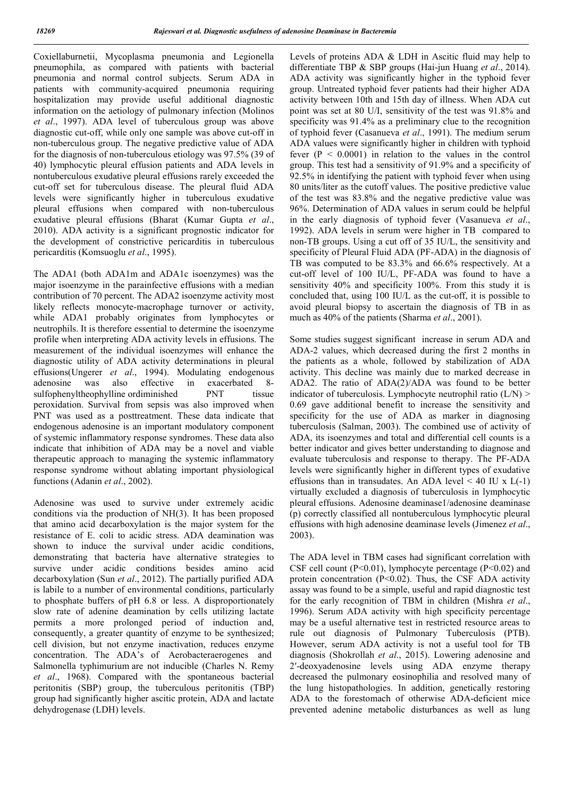Coxiellaburnetii, Mycoplasma pneumonia and Legionella pneumophila, as compared with patients with bacterial pneumonia and normal control subjects. Serum ADA in patients with community-acquired pneumonia requiring hospitalization may provide useful additional diagnostic information on the aetiology of pulmonary infection (Molinos *et al*., 1997). ADA level of tuberculous group was above diagnostic cut-off, while only one sample was above cut-off in non-tuberculous group. The negative predictive value of ADA for the diagnosis of non-tuberculous etiology was 97.5% (39 of 40) lymphocytic pleural effusion patients and ADA levels in nontuberculous exudative pleural effusions rarely exceeded the cut-off set for tuberculous disease. The pleural fluid ADA levels were significantly higher in tuberculous exudative pleural effusions when compared with non-tuberculous exudative pleural effusions (Bharat (Kumar Gupta *et al*., 2010). ADA activity is a significant prognostic indicator for the development of constrictive pericarditis in tuberculous pericarditis (Komsuoglu *et al*., 1995).

The ADA1 (both ADA1m and ADA1c isoenzymes) was the major isoenzyme in the parainfective effusions with a median contribution of 70 percent. The ADA2 isoenzyme activity most likely reflects monocyte-macrophage turnover or activity, while ADA1 probably originates from lymphocytes or neutrophils. It is therefore essential to determine the isoenzyme profile when interpreting ADA activity levels in effusions. The measurement of the individual isoenzymes will enhance the diagnostic utility of ADA activity determinations in pleural effusions(Ungerer *et al*., 1994). Modulating endogenous adenosine was also effective in exacerbated 8-<br>sulfophenyltheophylline ordinariished PNT tissue sulfophenyltheophylline ordiminished PNT peroxidation. Survival from sepsis was also improved when PNT was used as a posttreatment. These data indicate that endogenous adenosine is an important modulatory component of systemic inflammatory response syndromes. These data also indicate that inhibition of ADA may be a novel and viable therapeutic approach to managing the systemic inflammatory response syndrome without ablating important physiological functions (Adanin *et al*., 2002).

Adenosine was used to survive under extremely acidic conditions via the production of NH(3). It has been proposed that amino acid decarboxylation is the major system for the resistance of E. coli to acidic stress. ADA deamination was shown to induce the survival under acidic conditions, demonstrating that bacteria have alternative strategies to survive under acidic conditions besides amino acid decarboxylation (Sun *et al*., 2012). The partially purified ADA is labile to a number of environmental conditions, particularly to phosphate buffers of pH 6.8 or less. A disproportionately slow rate of adenine deamination by cells utilizing lactate permits a more prolonged period of induction and, consequently, a greater quantity of enzyme to be synthesized; cell division, but not enzyme inactivation, reduces enzyme concentration. The ADA's of Aerobacteraerogenes and Salmonella typhimurium are not inducible (Charles N. Remy *et al*., 1968). Compared with the spontaneous bacterial peritonitis (SBP) group, the tuberculous peritonitis (TBP) group had significantly higher ascitic protein, ADA and lactate dehydrogenase (LDH) levels.

Levels of proteins ADA & LDH in Ascitic fluid may help to differentiate TBP & SBP groups (Hai-jun Huang *et al*., 2014). ADA activity was significantly higher in the typhoid fever group. Untreated typhoid fever patients had their higher ADA activity between 10th and 15th day of illness. When ADA cut point was set at 80 U/I, sensitivity of the test was 91.8% and specificity was 91.4% as a preliminary clue to the recognition of typhoid fever (Casanueva *et al*., 1991). The medium serum ADA values were significantly higher in children with typhoid fever  $(P < 0.0001)$  in relation to the values in the control group. This test had a sensitivity of 91.9% and a specificity of 92.5% in identifying the patient with typhoid fever when using 80 units/liter as the cutoff values. The positive predictive value of the test was 83.8% and the negative predictive value was 96%. Determination of ADA values in serum could be helpful in the early diagnosis of typhoid fever (Vasanueva *et al*., 1992). ADA levels in serum were higher in TB compared to non-TB groups. Using a cut off of 35 IU/L, the sensitivity and specificity of Pleural Fluid ADA (PF-ADA) in the diagnosis of TB was computed to be 83.3% and 66.6% respectively. At a cut-off level of 100 IU/L, PF-ADA was found to have a sensitivity 40% and specificity 100%. From this study it is concluded that, using 100 IU/L as the cut-off, it is possible to avoid pleural biopsy to ascertain the diagnosis of TB in as much as 40% of the patients (Sharma *et al*., 2001).

Some studies suggest significant increase in serum ADA and ADA-2 values, which decreased during the first 2 months in the patients as a whole, followed by stabilization of ADA activity. This decline was mainly due to marked decrease in ADA2. The ratio of ADA(2)/ADA was found to be better indicator of tuberculosis. Lymphocyte neutrophil ratio (L/N) > 0.69 gave additional benefit to increase the sensitivity and specificity for the use of ADA as marker in diagnosing tuberculosis (Salman, 2003). The combined use of activity of ADA, its isoenzymes and total and differential cell counts is a better indicator and gives better understanding to diagnose and evaluate tuberculosis and response to therapy. The PF-ADA levels were significantly higher in different types of exudative effusions than in transudates. An ADA level  $\leq 40$  IU x L(-1) virtually excluded a diagnosis of tuberculosis in lymphocytic pleural effusions. Adenosine deaminase1/adenosine deaminase (p) correctly classified all nontuberculous lymphocytic pleural effusions with high adenosine deaminase levels (Jimenez *et al*., 2003).

The ADA level in TBM cases had significant correlation with CSF cell count  $(P<0.01)$ , lymphocyte percentage  $(P<0.02)$  and protein concentration (P<0.02). Thus, the CSF ADA activity assay was found to be a simple, useful and rapid diagnostic test for the early recognition of TBM in children (Mishra *et al*., 1996). Serum ADA activity with high specificity percentage may be a useful alternative test in restricted resource areas to rule out diagnosis of Pulmonary Tuberculosis (PTB). However, serum ADA activity is not a useful tool for TB diagnosis (Shokrollah *et al*., 2015). Lowering adenosine and 2′-deoxyadenosine levels using ADA enzyme therapy decreased the pulmonary eosinophilia and resolved many of the lung histopathologies. In addition, genetically restoring ADA to the forestomach of otherwise ADA-deficient mice prevented adenine metabolic disturbances as well as lung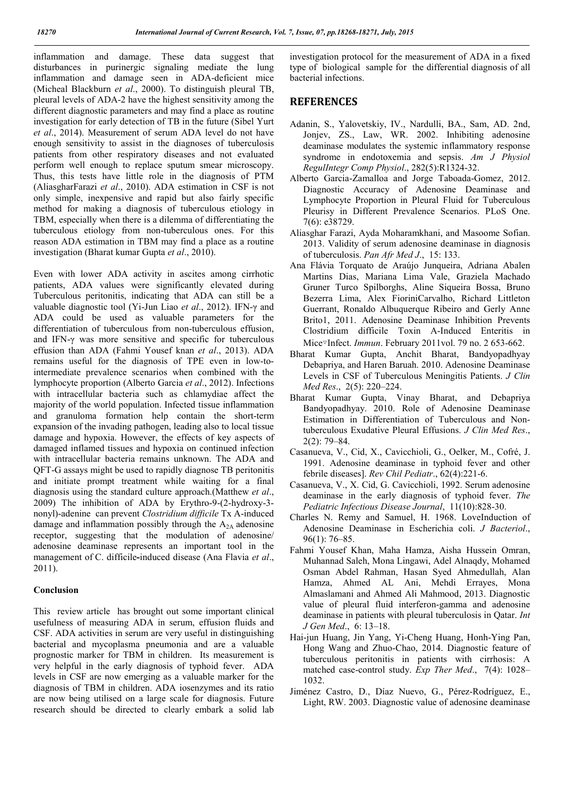inflammation and damage. These data suggest that disturbances in purinergic signaling mediate the lung inflammation and damage seen in ADA-deficient mice (Micheal Blackburn *et al*., 2000). To distinguish pleural TB, pleural levels of ADA-2 have the highest sensitivity among the different diagnostic parameters and may find a place as routine investigation for early detection of TB in the future (Sibel Yurt *et al*., 2014). Measurement of serum ADA level do not have enough sensitivity to assist in the diagnoses of tuberculosis patients from other respiratory diseases and not evaluated perform well enough to replace sputum smear microscopy. Thus, this tests have little role in the diagnosis of PTM (AliasgharFarazi *et al*., 2010). ADA estimation in CSF is not only simple, inexpensive and rapid but also fairly specific method for making a diagnosis of tuberculous etiology in TBM, especially when there is a dilemma of differentiating the tuberculous etiology from non-tuberculous ones. For this reason ADA estimation in TBM may find a place as a routine investigation (Bharat kumar Gupta *et al*., 2010).

Even with lower ADA activity in ascites among cirrhotic patients, ADA values were significantly elevated during Tuberculous peritonitis, indicating that ADA can still be a valuable diagnostic tool (Yi-Jun Liao *et al*., 2012). IFN-γ and ADA could be used as valuable parameters for the differentiation of tuberculous from non-tuberculous effusion, and IFN-γ was more sensitive and specific for tuberculous effusion than ADA (Fahmi Yousef knan *et al*., 2013). ADA remains useful for the diagnosis of TPE even in low-tointermediate prevalence scenarios when combined with the lymphocyte proportion (Alberto Garcia *et al*., 2012). Infections with intracellular bacteria such as chlamydiae affect the majority of the world population. Infected tissue inflammation and granuloma formation help contain the short-term expansion of the invading pathogen, leading also to local tissue damage and hypoxia. However, the effects of key aspects of damaged inflamed tissues and hypoxia on continued infection with intracellular bacteria remains unknown. The ADA and QFT-G assays might be used to rapidly diagnose TB peritonitis and initiate prompt treatment while waiting for a final diagnosis using the standard culture approach.(Matthew *et al*., 2009) The inhibition of ADA by Erythro-9-(2-hydroxy-3 nonyl)-adenine can prevent *Clostridium difficile* Tx A-induced damage and inflammation possibly through the  $A_{2A}$  adenosine receptor, suggesting that the modulation of adenosine/ adenosine deaminase represents an important tool in the management of C. difficile-induced disease (Ana Flavia *et al*., 2011).

#### Conclusion

This review article has brought out some important clinical usefulness of measuring ADA in serum, effusion fluids and CSF. ADA activities in serum are very useful in distinguishing bacterial and mycoplasma pneumonia and are a valuable prognostic marker for TBM in children. Its measurement is very helpful in the early diagnosis of typhoid fever. ADA levels in CSF are now emerging as a valuable marker for the diagnosis of TBM in children. ADA iosenzymes and its ratio are now being utilised on a large scale for diagnosis. Future research should be directed to clearly embark a solid lab

investigation protocol for the measurement of ADA in a fixed type of biological sample for the differential diagnosis of all bacterial infections.

#### **REFERENCES**

- Adanin, S., Yalovetskiy, IV., Nardulli, BA., Sam, AD. 2nd, Jonjev, ZS., Law, WR. 2002. Inhibiting adenosine deaminase modulates the systemic inflammatory response syndrome in endotoxemia and sepsis. *Am J Physiol RegulIntegr Comp Physiol*., 282(5):R1324-32.
- Alberto Garcia-Zamalloa and Jorge Taboada-Gomez, 2012. Diagnostic Accuracy of Adenosine Deaminase and Lymphocyte Proportion in Pleural Fluid for Tuberculous Pleurisy in Different Prevalence Scenarios. PLoS One. 7(6): e38729.
- Aliasghar Farazi, Ayda Moharamkhani, and Masoome Sofian. 2013. Validity of serum adenosine deaminase in diagnosis of tuberculosis. *Pan Afr Med J*., 15: 133.
- Ana Flávia Torquato de Araújo Junqueira, Adriana Abalen Martins Dias, Mariana Lima Vale, Graziela Machado Gruner Turco Spilborghs, Aline Siqueira Bossa, Bruno Bezerra Lima, Alex FioriniCarvalho, Richard Littleton Guerrant, Ronaldo Albuquerque Ribeiro and Gerly Anne Brito1, 2011. Adenosine Deaminase Inhibition Prevents Clostridium difficile Toxin A-Induced Enteritis in Mice▿Infect. *Immun*. February 2011vol. 79 no. 2 653-662.
- Bharat Kumar Gupta, Anchit Bharat, Bandyopadhyay Debapriya, and Haren Baruah. 2010. Adenosine Deaminase Levels in CSF of Tuberculous Meningitis Patients. *J Clin Med Res*., 2(5): 220–224.
- Bharat Kumar Gupta, Vinay Bharat, and Debapriya Bandyopadhyay. 2010. Role of Adenosine Deaminase Estimation in Differentiation of Tuberculous and Nontuberculous Exudative Pleural Effusions. *J Clin Med Res*., 2(2): 79–84.
- Casanueva, V., Cid, X., Cavicchioli, G., Oelker, M., Cofré, J. 1991. Adenosine deaminase in typhoid fever and other febrile diseases]. *Rev Chil Pediatr*., 62(4):221-6.
- Casanueva, V., X. Cid, G. Cavicchioli, 1992. Serum adenosine deaminase in the early diagnosis of typhoid fever. *The Pediatric Infectious Disease Journal*, 11(10):828-30.
- Charles N. Remy and Samuel, H. 1968. LoveInduction of Adenosine Deaminase in Escherichia coli. *J Bacteriol*., 96(1): 76–85.
- Fahmi Yousef Khan, Maha Hamza, Aisha Hussein Omran, Muhannad Saleh, Mona Lingawi, Adel Alnaqdy, Mohamed Osman Abdel Rahman, Hasan Syed Ahmedullah, Alan Hamza, Ahmed AL Ani, Mehdi Errayes, Mona Almaslamani and Ahmed Ali Mahmood, 2013. Diagnostic value of pleural fluid interferon-gamma and adenosine deaminase in patients with pleural tuberculosis in Qatar. *Int J Gen Med*., 6: 13–18.
- Hai-jun Huang, Jin Yang, Yi-Cheng Huang, Honh-Ying Pan, Hong Wang and Zhuo-Chao, 2014. Diagnostic feature of tuberculous peritonitis in patients with cirrhosis: A matched case-control study. *Exp Ther Med*., 7(4): 1028– 1032.
- Jiménez Castro, D., Díaz Nuevo, G., Pérez-Rodríguez, E., Light, RW. 2003. Diagnostic value of adenosine deaminase